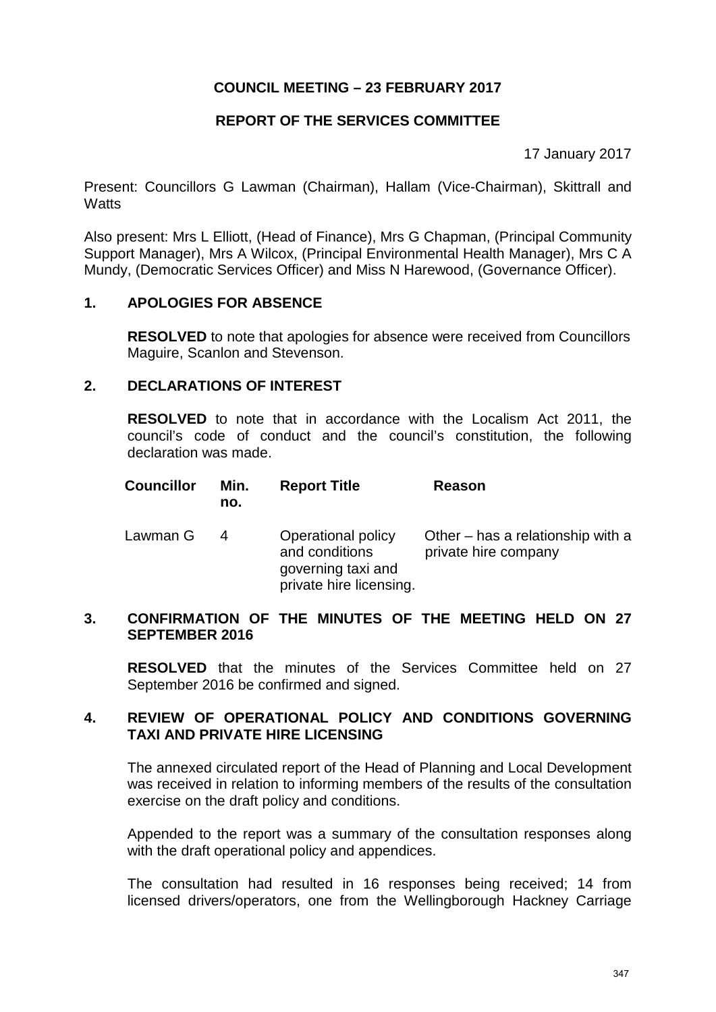# **REPORT OF THE SERVICES COMMITTEE**

17 January 2017

Present: Councillors G Lawman (Chairman), Hallam (Vice-Chairman), Skittrall and **Watts** 

Also present: Mrs L Elliott, (Head of Finance), Mrs G Chapman, (Principal Community Support Manager), Mrs A Wilcox, (Principal Environmental Health Manager), Mrs C A Mundy, (Democratic Services Officer) and Miss N Harewood, (Governance Officer).

## **1. APOLOGIES FOR ABSENCE**

**RESOLVED** to note that apologies for absence were received from Councillors Maguire, Scanlon and Stevenson.

## **2. DECLARATIONS OF INTEREST**

**RESOLVED** to note that in accordance with the Localism Act 2011, the council's code of conduct and the council's constitution, the following declaration was made.

| <b>Councillor</b> | Min. | <b>Report Title</b> | Reason |
|-------------------|------|---------------------|--------|
|                   | no.  |                     |        |
|                   |      |                     |        |

| Lawman G | 4 | Operational policy<br>and conditions<br>governing taxi and | Other – has a relationship with a<br>private hire company |
|----------|---|------------------------------------------------------------|-----------------------------------------------------------|
|          |   | private hire licensing.                                    |                                                           |

### **3. CONFIRMATION OF THE MINUTES OF THE MEETING HELD ON 27 SEPTEMBER 2016**

**RESOLVED** that the minutes of the Services Committee held on 27 September 2016 be confirmed and signed.

# **4. REVIEW OF OPERATIONAL POLICY AND CONDITIONS GOVERNING TAXI AND PRIVATE HIRE LICENSING**

The annexed circulated report of the Head of Planning and Local Development was received in relation to informing members of the results of the consultation exercise on the draft policy and conditions.

Appended to the report was a summary of the consultation responses along with the draft operational policy and appendices.

The consultation had resulted in 16 responses being received; 14 from licensed drivers/operators, one from the Wellingborough Hackney Carriage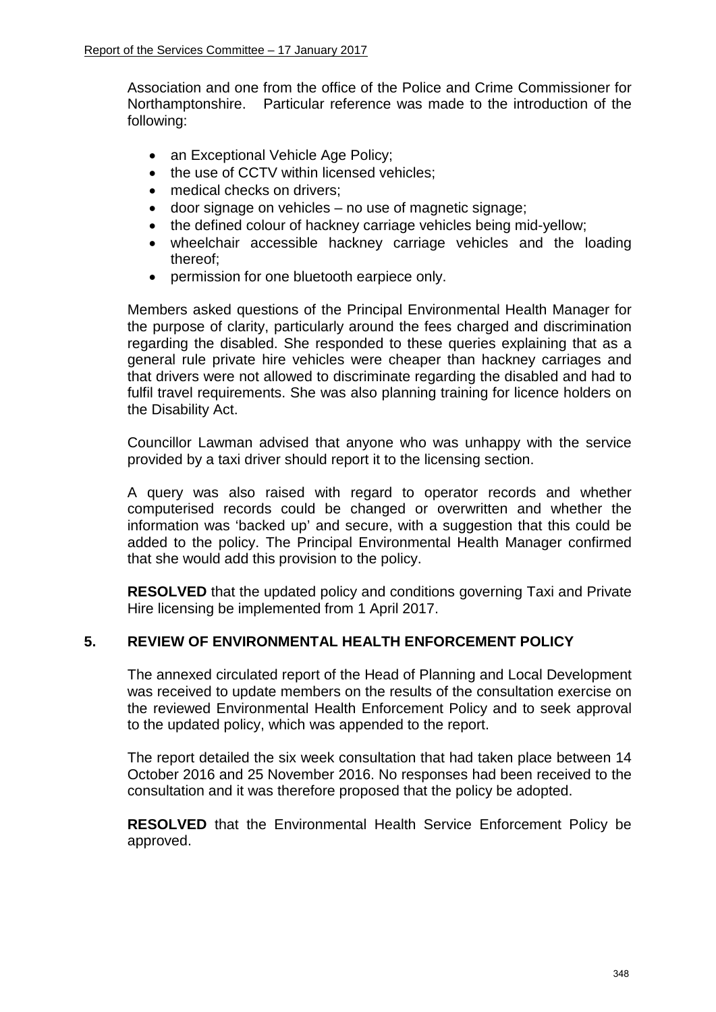Association and one from the office of the Police and Crime Commissioner for Northamptonshire. Particular reference was made to the introduction of the following:

- an Exceptional Vehicle Age Policy;
- the use of CCTV within licensed vehicles;
- medical checks on drivers:
- door signage on vehicles no use of magnetic signage;
- the defined colour of hackney carriage vehicles being mid-yellow:
- wheelchair accessible hackney carriage vehicles and the loading thereof;
- permission for one bluetooth earpiece only.

Members asked questions of the Principal Environmental Health Manager for the purpose of clarity, particularly around the fees charged and discrimination regarding the disabled. She responded to these queries explaining that as a general rule private hire vehicles were cheaper than hackney carriages and that drivers were not allowed to discriminate regarding the disabled and had to fulfil travel requirements. She was also planning training for licence holders on the Disability Act.

Councillor Lawman advised that anyone who was unhappy with the service provided by a taxi driver should report it to the licensing section.

A query was also raised with regard to operator records and whether computerised records could be changed or overwritten and whether the information was 'backed up' and secure, with a suggestion that this could be added to the policy. The Principal Environmental Health Manager confirmed that she would add this provision to the policy.

**RESOLVED** that the updated policy and conditions governing Taxi and Private Hire licensing be implemented from 1 April 2017.

## **5. REVIEW OF ENVIRONMENTAL HEALTH ENFORCEMENT POLICY**

The annexed circulated report of the Head of Planning and Local Development was received to update members on the results of the consultation exercise on the reviewed Environmental Health Enforcement Policy and to seek approval to the updated policy, which was appended to the report.

The report detailed the six week consultation that had taken place between 14 October 2016 and 25 November 2016. No responses had been received to the consultation and it was therefore proposed that the policy be adopted.

**RESOLVED** that the Environmental Health Service Enforcement Policy be approved.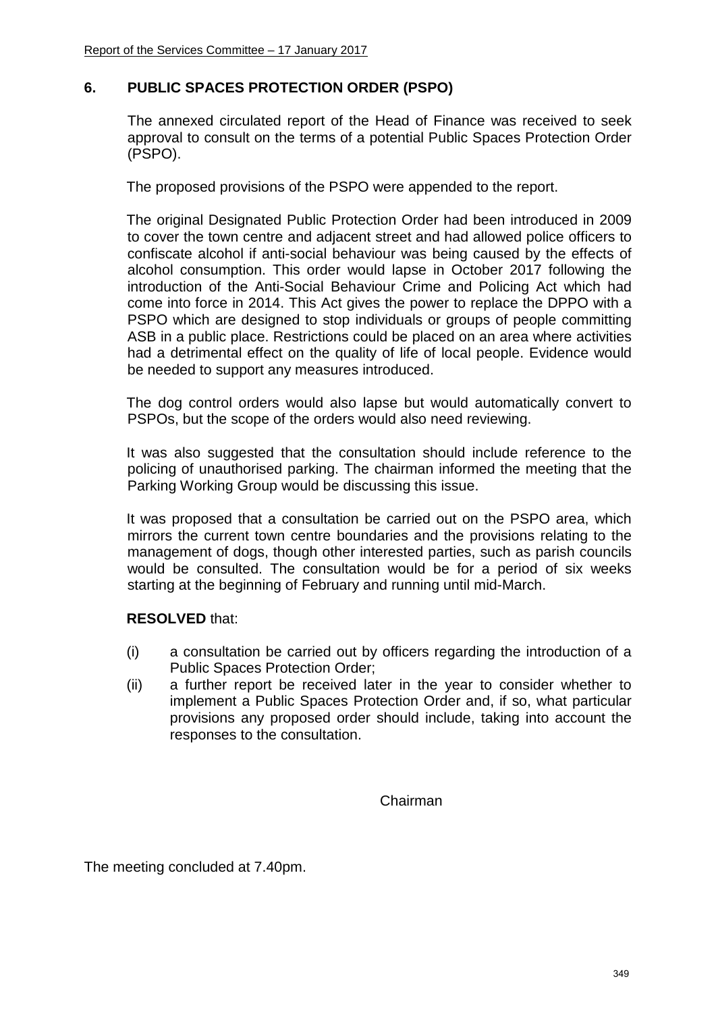# **6. PUBLIC SPACES PROTECTION ORDER (PSPO)**

The annexed circulated report of the Head of Finance was received to seek approval to consult on the terms of a potential Public Spaces Protection Order (PSPO).

The proposed provisions of the PSPO were appended to the report.

The original Designated Public Protection Order had been introduced in 2009 to cover the town centre and adjacent street and had allowed police officers to confiscate alcohol if anti-social behaviour was being caused by the effects of alcohol consumption. This order would lapse in October 2017 following the introduction of the Anti-Social Behaviour Crime and Policing Act which had come into force in 2014. This Act gives the power to replace the DPPO with a PSPO which are designed to stop individuals or groups of people committing ASB in a public place. Restrictions could be placed on an area where activities had a detrimental effect on the quality of life of local people. Evidence would be needed to support any measures introduced.

The dog control orders would also lapse but would automatically convert to PSPOs, but the scope of the orders would also need reviewing.

It was also suggested that the consultation should include reference to the policing of unauthorised parking. The chairman informed the meeting that the Parking Working Group would be discussing this issue.

It was proposed that a consultation be carried out on the PSPO area, which mirrors the current town centre boundaries and the provisions relating to the management of dogs, though other interested parties, such as parish councils would be consulted. The consultation would be for a period of six weeks starting at the beginning of February and running until mid-March.

## **RESOLVED** that:

- (i) a consultation be carried out by officers regarding the introduction of a Public Spaces Protection Order;
- (ii) a further report be received later in the year to consider whether to implement a Public Spaces Protection Order and, if so, what particular provisions any proposed order should include, taking into account the responses to the consultation.

Chairman

The meeting concluded at 7.40pm.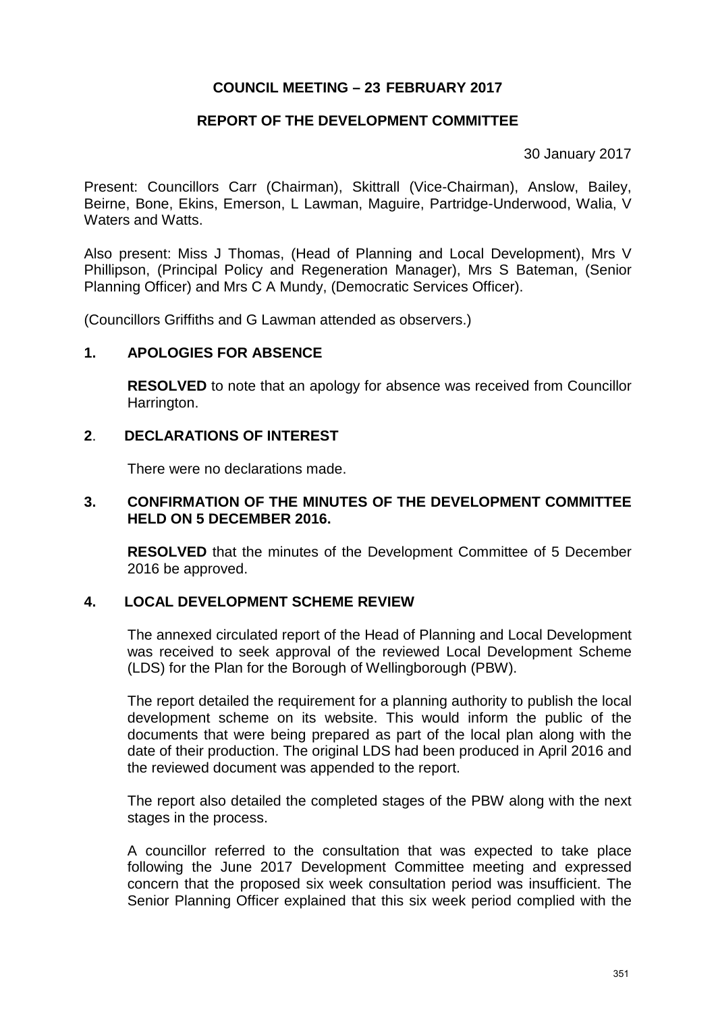# **REPORT OF THE DEVELOPMENT COMMITTEE**

30 January 2017

Present: Councillors Carr (Chairman), Skittrall (Vice-Chairman), Anslow, Bailey, Beirne, Bone, Ekins, Emerson, L Lawman, Maguire, Partridge-Underwood, Walia, V Waters and Watts.

Also present: Miss J Thomas, (Head of Planning and Local Development), Mrs V Phillipson, (Principal Policy and Regeneration Manager), Mrs S Bateman, (Senior Planning Officer) and Mrs C A Mundy, (Democratic Services Officer).

(Councillors Griffiths and G Lawman attended as observers.)

## **1. APOLOGIES FOR ABSENCE**

**RESOLVED** to note that an apology for absence was received from Councillor Harrington.

### **2**. **DECLARATIONS OF INTEREST**

There were no declarations made.

### **3. CONFIRMATION OF THE MINUTES OF THE DEVELOPMENT COMMITTEE HELD ON 5 DECEMBER 2016.**

**RESOLVED** that the minutes of the Development Committee of 5 December 2016 be approved.

## **4. LOCAL DEVELOPMENT SCHEME REVIEW**

The annexed circulated report of the Head of Planning and Local Development was received to seek approval of the reviewed Local Development Scheme (LDS) for the Plan for the Borough of Wellingborough (PBW).

The report detailed the requirement for a planning authority to publish the local development scheme on its website. This would inform the public of the documents that were being prepared as part of the local plan along with the date of their production. The original LDS had been produced in April 2016 and the reviewed document was appended to the report.

The report also detailed the completed stages of the PBW along with the next stages in the process.

A councillor referred to the consultation that was expected to take place following the June 2017 Development Committee meeting and expressed concern that the proposed six week consultation period was insufficient. The Senior Planning Officer explained that this six week period complied with the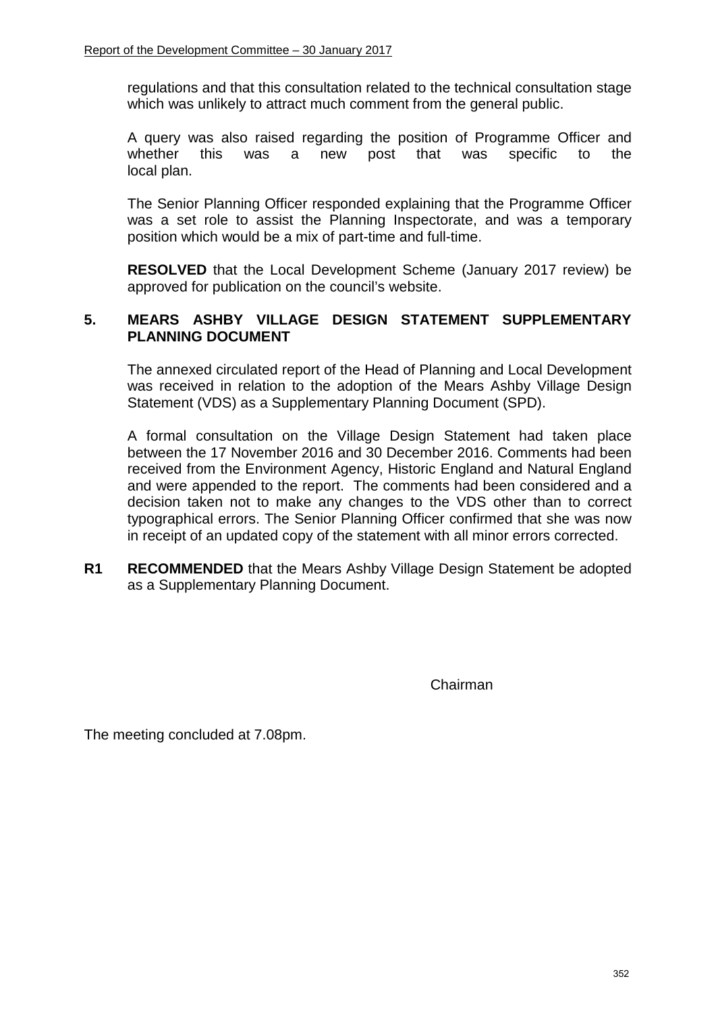regulations and that this consultation related to the technical consultation stage which was unlikely to attract much comment from the general public.

A query was also raised regarding the position of Programme Officer and whether this was a new post that was specific to the local plan.

The Senior Planning Officer responded explaining that the Programme Officer was a set role to assist the Planning Inspectorate, and was a temporary position which would be a mix of part-time and full-time.

**RESOLVED** that the Local Development Scheme (January 2017 review) be approved for publication on the council's website.

# **5. MEARS ASHBY VILLAGE DESIGN STATEMENT SUPPLEMENTARY PLANNING DOCUMENT**

The annexed circulated report of the Head of Planning and Local Development was received in relation to the adoption of the Mears Ashby Village Design Statement (VDS) as a Supplementary Planning Document (SPD).

A formal consultation on the Village Design Statement had taken place between the 17 November 2016 and 30 December 2016. Comments had been received from the Environment Agency, Historic England and Natural England and were appended to the report. The comments had been considered and a decision taken not to make any changes to the VDS other than to correct typographical errors. The Senior Planning Officer confirmed that she was now in receipt of an updated copy of the statement with all minor errors corrected.

**R1 RECOMMENDED** that the Mears Ashby Village Design Statement be adopted as a Supplementary Planning Document.

Chairman

The meeting concluded at 7.08pm.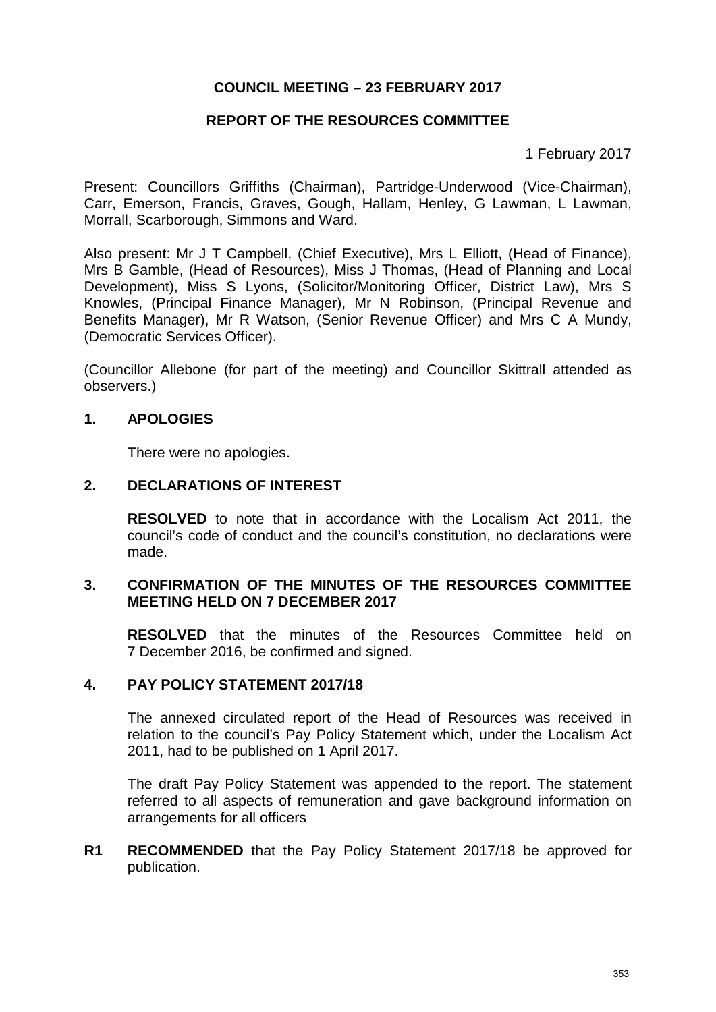# **REPORT OF THE RESOURCES COMMITTEE**

1 February 2017

Present: Councillors Griffiths (Chairman), Partridge-Underwood (Vice-Chairman), Carr, Emerson, Francis, Graves, Gough, Hallam, Henley, G Lawman, L Lawman, Morrall, Scarborough, Simmons and Ward.

Also present: Mr J T Campbell, (Chief Executive), Mrs L Elliott, (Head of Finance), Mrs B Gamble, (Head of Resources), Miss J Thomas, (Head of Planning and Local Development), Miss S Lyons, (Solicitor/Monitoring Officer, District Law), Mrs S Knowles, (Principal Finance Manager), Mr N Robinson, (Principal Revenue and Benefits Manager), Mr R Watson, (Senior Revenue Officer) and Mrs C A Mundy, (Democratic Services Officer).

(Councillor Allebone (for part of the meeting) and Councillor Skittrall attended as observers.)

### **1. APOLOGIES**

There were no apologies.

### **2. DECLARATIONS OF INTEREST**

**RESOLVED** to note that in accordance with the Localism Act 2011, the council's code of conduct and the council's constitution, no declarations were made.

### **3. CONFIRMATION OF THE MINUTES OF THE RESOURCES COMMITTEE MEETING HELD ON 7 DECEMBER 2017**

**RESOLVED** that the minutes of the Resources Committee held on 7 December 2016, be confirmed and signed.

### **4. PAY POLICY STATEMENT 2017/18**

The annexed circulated report of the Head of Resources was received in relation to the council's Pay Policy Statement which, under the Localism Act 2011, had to be published on 1 April 2017.

The draft Pay Policy Statement was appended to the report. The statement referred to all aspects of remuneration and gave background information on arrangements for all officers

**R1 RECOMMENDED** that the Pay Policy Statement 2017/18 be approved for publication.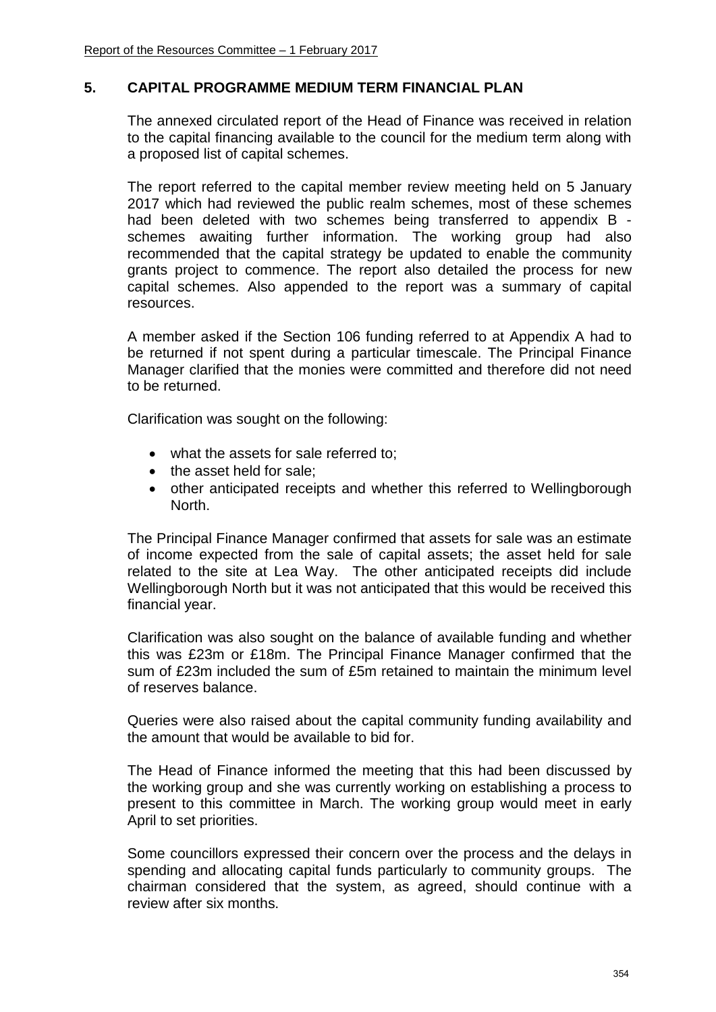## **5. CAPITAL PROGRAMME MEDIUM TERM FINANCIAL PLAN**

The annexed circulated report of the Head of Finance was received in relation to the capital financing available to the council for the medium term along with a proposed list of capital schemes.

The report referred to the capital member review meeting held on 5 January 2017 which had reviewed the public realm schemes, most of these schemes had been deleted with two schemes being transferred to appendix B schemes awaiting further information. The working group had also recommended that the capital strategy be updated to enable the community grants project to commence. The report also detailed the process for new capital schemes. Also appended to the report was a summary of capital resources.

A member asked if the Section 106 funding referred to at Appendix A had to be returned if not spent during a particular timescale. The Principal Finance Manager clarified that the monies were committed and therefore did not need to be returned.

Clarification was sought on the following:

- what the assets for sale referred to;
- the asset held for sale:
- other anticipated receipts and whether this referred to Wellingborough North.

The Principal Finance Manager confirmed that assets for sale was an estimate of income expected from the sale of capital assets; the asset held for sale related to the site at Lea Way. The other anticipated receipts did include Wellingborough North but it was not anticipated that this would be received this financial year.

Clarification was also sought on the balance of available funding and whether this was £23m or £18m. The Principal Finance Manager confirmed that the sum of £23m included the sum of £5m retained to maintain the minimum level of reserves balance.

Queries were also raised about the capital community funding availability and the amount that would be available to bid for.

The Head of Finance informed the meeting that this had been discussed by the working group and she was currently working on establishing a process to present to this committee in March. The working group would meet in early April to set priorities.

Some councillors expressed their concern over the process and the delays in spending and allocating capital funds particularly to community groups. The chairman considered that the system, as agreed, should continue with a review after six months.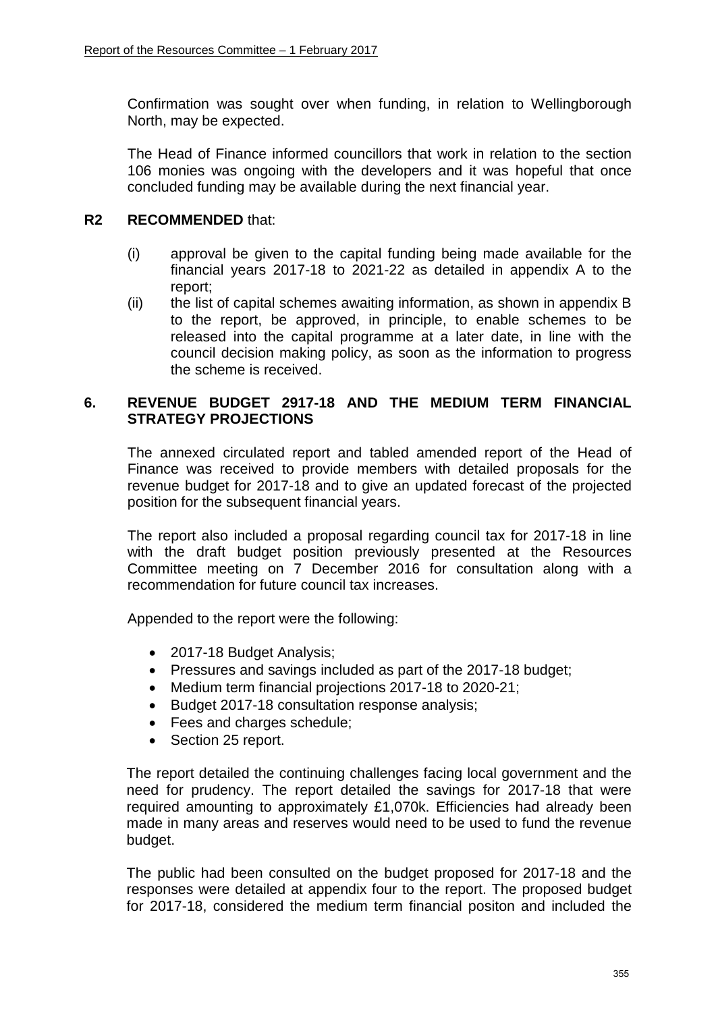Confirmation was sought over when funding, in relation to Wellingborough North, may be expected.

The Head of Finance informed councillors that work in relation to the section 106 monies was ongoing with the developers and it was hopeful that once concluded funding may be available during the next financial year.

## **R2 RECOMMENDED** that:

- (i) approval be given to the capital funding being made available for the financial years 2017-18 to 2021-22 as detailed in appendix A to the report;
- (ii) the list of capital schemes awaiting information, as shown in appendix B to the report, be approved, in principle, to enable schemes to be released into the capital programme at a later date, in line with the council decision making policy, as soon as the information to progress the scheme is received.

### **6. REVENUE BUDGET 2917-18 AND THE MEDIUM TERM FINANCIAL STRATEGY PROJECTIONS**

The annexed circulated report and tabled amended report of the Head of Finance was received to provide members with detailed proposals for the revenue budget for 2017-18 and to give an updated forecast of the projected position for the subsequent financial years.

The report also included a proposal regarding council tax for 2017-18 in line with the draft budget position previously presented at the Resources Committee meeting on 7 December 2016 for consultation along with a recommendation for future council tax increases.

Appended to the report were the following:

- 2017-18 Budget Analysis;
- Pressures and savings included as part of the 2017-18 budget;
- Medium term financial projections 2017-18 to 2020-21;
- Budget 2017-18 consultation response analysis;
- Fees and charges schedule;
- Section 25 report.

The report detailed the continuing challenges facing local government and the need for prudency. The report detailed the savings for 2017-18 that were required amounting to approximately £1,070k. Efficiencies had already been made in many areas and reserves would need to be used to fund the revenue budget.

The public had been consulted on the budget proposed for 2017-18 and the responses were detailed at appendix four to the report. The proposed budget for 2017-18, considered the medium term financial positon and included the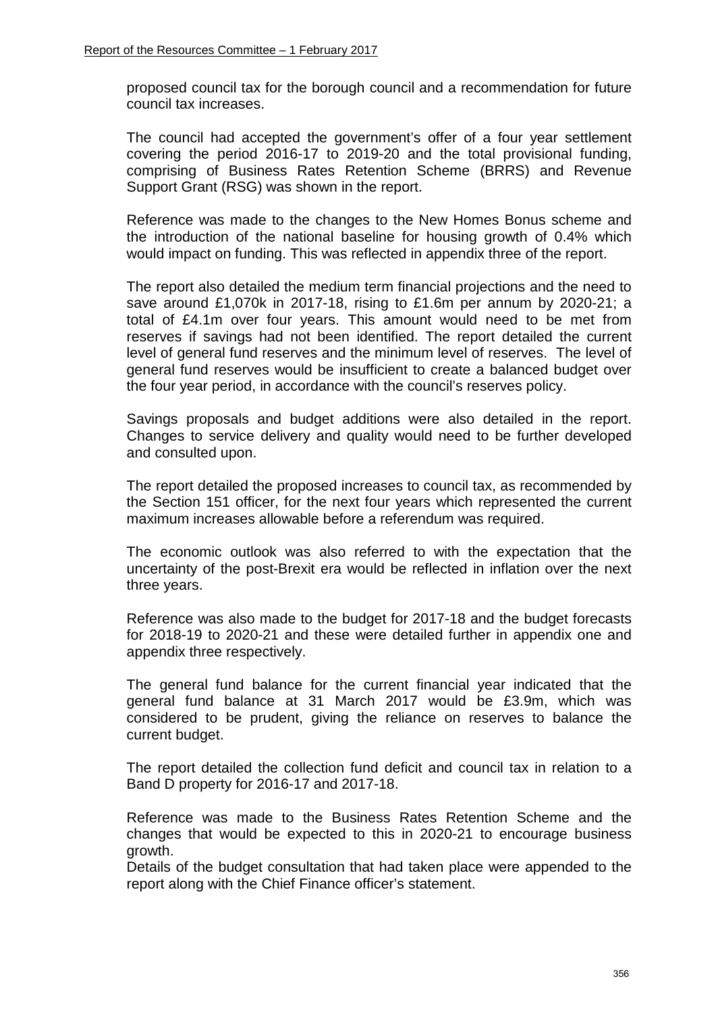proposed council tax for the borough council and a recommendation for future council tax increases.

The council had accepted the government's offer of a four year settlement covering the period 2016-17 to 2019-20 and the total provisional funding, comprising of Business Rates Retention Scheme (BRRS) and Revenue Support Grant (RSG) was shown in the report.

Reference was made to the changes to the New Homes Bonus scheme and the introduction of the national baseline for housing growth of 0.4% which would impact on funding. This was reflected in appendix three of the report.

The report also detailed the medium term financial projections and the need to save around £1,070k in 2017-18, rising to £1.6m per annum by 2020-21; a total of £4.1m over four years. This amount would need to be met from reserves if savings had not been identified. The report detailed the current level of general fund reserves and the minimum level of reserves. The level of general fund reserves would be insufficient to create a balanced budget over the four year period, in accordance with the council's reserves policy.

Savings proposals and budget additions were also detailed in the report. Changes to service delivery and quality would need to be further developed and consulted upon.

The report detailed the proposed increases to council tax, as recommended by the Section 151 officer, for the next four years which represented the current maximum increases allowable before a referendum was required.

The economic outlook was also referred to with the expectation that the uncertainty of the post-Brexit era would be reflected in inflation over the next three years.

Reference was also made to the budget for 2017-18 and the budget forecasts for 2018-19 to 2020-21 and these were detailed further in appendix one and appendix three respectively.

The general fund balance for the current financial year indicated that the general fund balance at 31 March 2017 would be £3.9m, which was considered to be prudent, giving the reliance on reserves to balance the current budget.

The report detailed the collection fund deficit and council tax in relation to a Band D property for 2016-17 and 2017-18.

Reference was made to the Business Rates Retention Scheme and the changes that would be expected to this in 2020-21 to encourage business growth.

Details of the budget consultation that had taken place were appended to the report along with the Chief Finance officer's statement.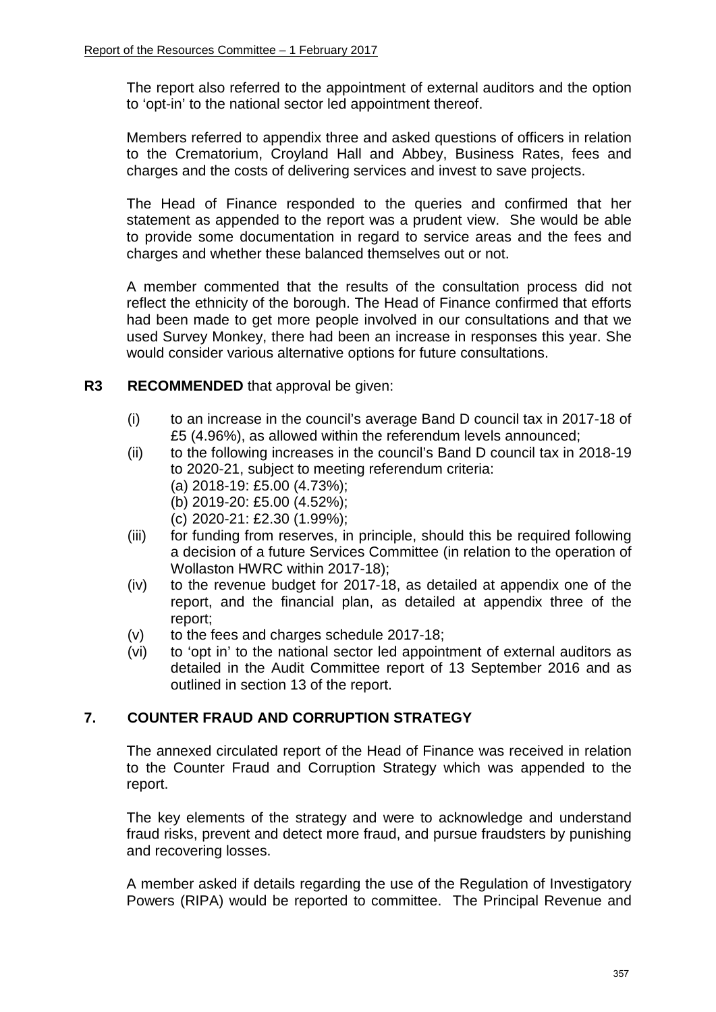The report also referred to the appointment of external auditors and the option to 'opt-in' to the national sector led appointment thereof.

Members referred to appendix three and asked questions of officers in relation to the Crematorium, Croyland Hall and Abbey, Business Rates, fees and charges and the costs of delivering services and invest to save projects.

The Head of Finance responded to the queries and confirmed that her statement as appended to the report was a prudent view. She would be able to provide some documentation in regard to service areas and the fees and charges and whether these balanced themselves out or not.

A member commented that the results of the consultation process did not reflect the ethnicity of the borough. The Head of Finance confirmed that efforts had been made to get more people involved in our consultations and that we used Survey Monkey, there had been an increase in responses this year. She would consider various alternative options for future consultations.

# **R3 RECOMMENDED** that approval be given:

- (i) to an increase in the council's average Band D council tax in 2017-18 of £5 (4.96%), as allowed within the referendum levels announced;
- (ii) to the following increases in the council's Band D council tax in 2018-19 to 2020-21, subject to meeting referendum criteria:
	- (a) 2018-19: £5.00 (4.73%);
	- (b) 2019-20: £5.00 (4.52%);
	- (c) 2020-21: £2.30 (1.99%);
- (iii) for funding from reserves, in principle, should this be required following a decision of a future Services Committee (in relation to the operation of Wollaston HWRC within 2017-18);
- (iv) to the revenue budget for 2017-18, as detailed at appendix one of the report, and the financial plan, as detailed at appendix three of the report;
- (v) to the fees and charges schedule 2017-18;
- (vi) to 'opt in' to the national sector led appointment of external auditors as detailed in the Audit Committee report of 13 September 2016 and as outlined in section 13 of the report.

# **7. COUNTER FRAUD AND CORRUPTION STRATEGY**

The annexed circulated report of the Head of Finance was received in relation to the Counter Fraud and Corruption Strategy which was appended to the report.

The key elements of the strategy and were to acknowledge and understand fraud risks, prevent and detect more fraud, and pursue fraudsters by punishing and recovering losses.

A member asked if details regarding the use of the Regulation of Investigatory Powers (RIPA) would be reported to committee. The Principal Revenue and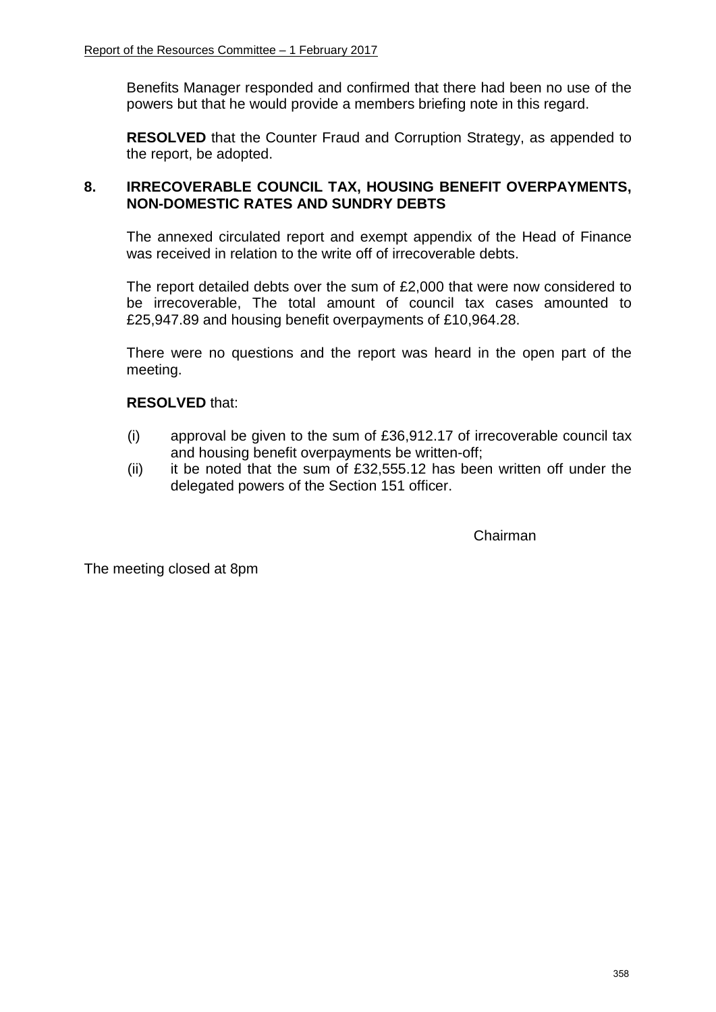Benefits Manager responded and confirmed that there had been no use of the powers but that he would provide a members briefing note in this regard.

**RESOLVED** that the Counter Fraud and Corruption Strategy, as appended to the report, be adopted.

# **8. IRRECOVERABLE COUNCIL TAX, HOUSING BENEFIT OVERPAYMENTS, NON-DOMESTIC RATES AND SUNDRY DEBTS**

The annexed circulated report and exempt appendix of the Head of Finance was received in relation to the write off of irrecoverable debts.

The report detailed debts over the sum of £2,000 that were now considered to be irrecoverable, The total amount of council tax cases amounted to £25,947.89 and housing benefit overpayments of £10,964.28.

There were no questions and the report was heard in the open part of the meeting.

## **RESOLVED** that:

- (i) approval be given to the sum of £36,912.17 of irrecoverable council tax and housing benefit overpayments be written-off;
- (ii) it be noted that the sum of  $£32,555.12$  has been written off under the delegated powers of the Section 151 officer.

Chairman

The meeting closed at 8pm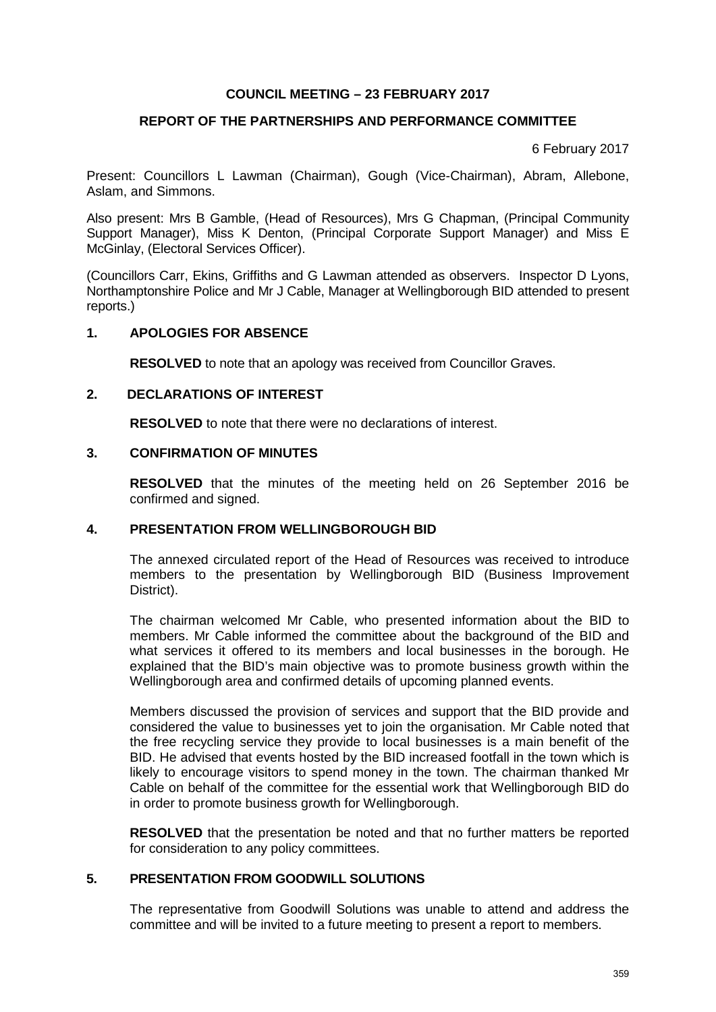#### **REPORT OF THE PARTNERSHIPS AND PERFORMANCE COMMITTEE**

6 February 2017

Present: Councillors L Lawman (Chairman), Gough (Vice-Chairman), Abram, Allebone, Aslam, and Simmons.

Also present: Mrs B Gamble, (Head of Resources), Mrs G Chapman, (Principal Community Support Manager), Miss K Denton, (Principal Corporate Support Manager) and Miss E McGinlay, (Electoral Services Officer).

(Councillors Carr, Ekins, Griffiths and G Lawman attended as observers. Inspector D Lyons, Northamptonshire Police and Mr J Cable, Manager at Wellingborough BID attended to present reports.)

### **1. APOLOGIES FOR ABSENCE**

**RESOLVED** to note that an apology was received from Councillor Graves.

#### **2. DECLARATIONS OF INTEREST**

**RESOLVED** to note that there were no declarations of interest.

#### **3. CONFIRMATION OF MINUTES**

**RESOLVED** that the minutes of the meeting held on 26 September 2016 be confirmed and signed.

#### **4. PRESENTATION FROM WELLINGBOROUGH BID**

The annexed circulated report of the Head of Resources was received to introduce members to the presentation by Wellingborough BID (Business Improvement District).

The chairman welcomed Mr Cable, who presented information about the BID to members. Mr Cable informed the committee about the background of the BID and what services it offered to its members and local businesses in the borough. He explained that the BID's main objective was to promote business growth within the Wellingborough area and confirmed details of upcoming planned events.

Members discussed the provision of services and support that the BID provide and considered the value to businesses yet to join the organisation. Mr Cable noted that the free recycling service they provide to local businesses is a main benefit of the BID. He advised that events hosted by the BID increased footfall in the town which is likely to encourage visitors to spend money in the town. The chairman thanked Mr Cable on behalf of the committee for the essential work that Wellingborough BID do in order to promote business growth for Wellingborough.

**RESOLVED** that the presentation be noted and that no further matters be reported for consideration to any policy committees.

#### **5. PRESENTATION FROM GOODWILL SOLUTIONS**

The representative from Goodwill Solutions was unable to attend and address the committee and will be invited to a future meeting to present a report to members.